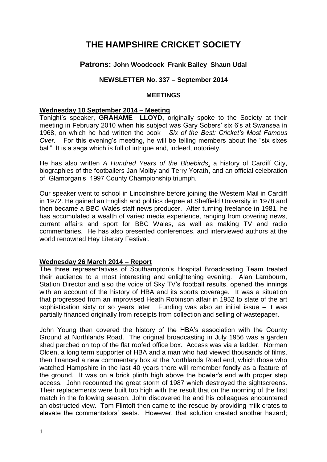# **THE HAMPSHIRE CRICKET SOCIETY**

# **Patrons: John Woodcock Frank Bailey Shaun Udal**

# **NEWSLETTER No. 337 – September 2014**

#### **MEETINGS**

#### **Wednesday 10 September 2014 – Meeting**

Tonight's speaker, **GRAHAME LLOYD,** originally spoke to the Society at their meeting in February 2010 when his subject was Gary Sobers' six 6's at Swansea in 1968, on which he had written the book *Six of the Best: Cricket's Most Famous Over.* For this evening's meeting, he will be telling members about the "six sixes ball". It is a saga which is full of intrigue and, indeed, notoriety.

He has also written *A Hundred Years of the Bluebirds*, a history of Cardiff City, biographies of the footballers Jan Molby and Terry Yorath, and an official celebration of Glamorgan's 1997 County Championship triumph.

Our speaker went to school in Lincolnshire before joining the Western Mail in Cardiff in 1972. He gained an English and politics degree at Sheffield University in 1978 and then became a BBC Wales staff news producer. After turning freelance in 1981, he has accumulated a wealth of varied media experience, ranging from covering news, current affairs and sport for BBC Wales, as well as making TV and radio commentaries. He has also presented conferences, and interviewed authors at the world renowned Hay Literary Festival.

## **Wednesday 26 March 2014 – Report**

The three representatives of Southampton's Hospital Broadcasting Team treated their audience to a most interesting and enlightening evening. Alan Lambourn, Station Director and also the voice of Sky TV's football results, opened the innings with an account of the history of HBA and its sports coverage. It was a situation that progressed from an improvised Heath Robinson affair in 1952 to state of the art sophistication sixty or so years later. Funding was also an initial issue – it was partially financed originally from receipts from collection and selling of wastepaper.

John Young then covered the history of the HBA's association with the County Ground at Northlands Road. The original broadcasting in July 1956 was a garden shed perched on top of the flat roofed office box. Access was via a ladder. Norman Olden, a long term supporter of HBA and a man who had viewed thousands of films, then financed a new commentary box at the Northlands Road end, which those who watched Hampshire in the last 40 years there will remember fondly as a feature of the ground. It was on a brick plinth high above the bowler's end with proper step access. John recounted the great storm of 1987 which destroyed the sightscreens. Their replacements were built too high with the result that on the morning of the first match in the following season, John discovered he and his colleagues encountered an obstructed view. Tom Flintoft then came to the rescue by providing milk crates to elevate the commentators' seats. However, that solution created another hazard;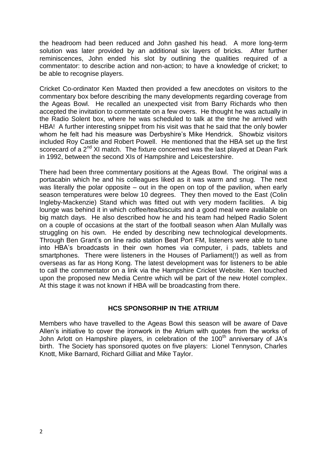the headroom had been reduced and John gashed his head. A more long-term solution was later provided by an additional six layers of bricks. After further reminiscences, John ended his slot by outlining the qualities required of a commentator: to describe action and non-action; to have a knowledge of cricket; to be able to recognise players.

Cricket Co-ordinator Ken Maxted then provided a few anecdotes on visitors to the commentary box before describing the many developments regarding coverage from the Ageas Bowl. He recalled an unexpected visit from Barry Richards who then accepted the invitation to commentate on a few overs. He thought he was actually in the Radio Solent box, where he was scheduled to talk at the time he arrived with HBA! A further interesting snippet from his visit was that he said that the only bowler whom he felt had his measure was Derbyshire's Mike Hendrick. Showbiz visitors included Roy Castle and Robert Powell. He mentioned that the HBA set up the first scorecard of a 2<sup>nd</sup> XI match. The fixture concerned was the last played at Dean Park in 1992, between the second XIs of Hampshire and Leicestershire.

There had been three commentary positions at the Ageas Bowl. The original was a portacabin which he and his colleagues liked as it was warm and snug. The next was literally the polar opposite – out in the open on top of the pavilion, when early season temperatures were below 10 degrees. They then moved to the East (Colin Ingleby-Mackenzie) Stand which was fitted out with very modern facilities. A big lounge was behind it in which coffee/tea/biscuits and a good meal were available on big match days. He also described how he and his team had helped Radio Solent on a couple of occasions at the start of the football season when Alan Mullally was struggling on his own. He ended by describing new technological developments. Through Ben Grant's on line radio station Beat Port FM, listeners were able to tune into HBA's broadcasts in their own homes via computer, i pads, tablets and smartphones. There were listeners in the Houses of Parliament(!) as well as from overseas as far as Hong Kong. The latest development was for listeners to be able to call the commentator on a link via the Hampshire Cricket Website. Ken touched upon the proposed new Media Centre which will be part of the new Hotel complex. At this stage it was not known if HBA will be broadcasting from there.

# **HCS SPONSORHIP IN THE ATRIUM**

Members who have travelled to the Ageas Bowl this season will be aware of Dave Allen's initiative to cover the ironwork in the Atrium with quotes from the works of John Arlott on Hampshire players, in celebration of the 100<sup>th</sup> anniversary of JA's birth. The Society has sponsored quotes on five players: Lionel Tennyson, Charles Knott, Mike Barnard, Richard Gilliat and Mike Taylor.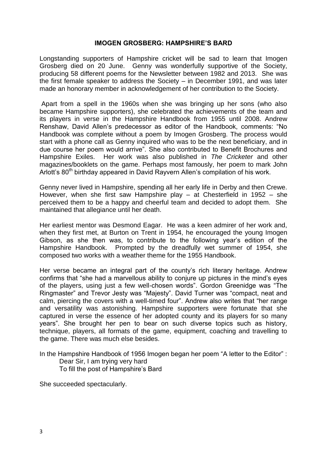#### **IMOGEN GROSBERG: HAMPSHIRE'S BARD**

Longstanding supporters of Hampshire cricket will be sad to learn that Imogen Grosberg died on 20 June. Genny was wonderfully supportive of the Society, producing 58 different poems for the Newsletter between 1982 and 2013. She was the first female speaker to address the Society – in December 1991, and was later made an honorary member in acknowledgement of her contribution to the Society.

Apart from a spell in the 1960s when she was bringing up her sons (who also became Hampshire supporters), she celebrated the achievements of the team and its players in verse in the Hampshire Handbook from 1955 until 2008. Andrew Renshaw, David Allen's predecessor as editor of the Handbook, comments: "No Handbook was complete without a poem by Imogen Grosberg. The process would start with a phone call as Genny inquired who was to be the next beneficiary, and in due course her poem would arrive". She also contributed to Benefit Brochures and Hampshire Exiles. Her work was also published in *The Cricketer* and other magazines/booklets on the game. Perhaps most famously, her poem to mark John Arlott's 80<sup>th</sup> birthday appeared in David Rayvern Allen's compilation of his work.

Genny never lived in Hampshire, spending all her early life in Derby and then Crewe. However, when she first saw Hampshire play – at Chesterfield in 1952 – she perceived them to be a happy and cheerful team and decided to adopt them. She maintained that allegiance until her death.

Her earliest mentor was Desmond Eagar. He was a keen admirer of her work and, when they first met, at Burton on Trent in 1954, he encouraged the young Imogen Gibson, as she then was, to contribute to the following year's edition of the Hampshire Handbook. Prompted by the dreadfully wet summer of 1954, she composed two works with a weather theme for the 1955 Handbook.

Her verse became an integral part of the county's rich literary heritage. Andrew confirms that "she had a marvellous ability to conjure up pictures in the mind's eyes of the players, using just a few well-chosen words". Gordon Greenidge was "The Ringmaster" and Trevor Jesty was "Majesty". David Turner was "compact, neat and calm, piercing the covers with a well-timed four". Andrew also writes that "her range and versatility was astonishing. Hampshire supporters were fortunate that she captured in verse the essence of her adopted county and its players for so many years". She brought her pen to bear on such diverse topics such as history, technique, players, all formats of the game, equipment, coaching and travelling to the game. There was much else besides.

In the Hampshire Handbook of 1956 Imogen began her poem "A letter to the Editor" : Dear Sir, I am trying very hard To fill the post of Hampshire's Bard

She succeeded spectacularly.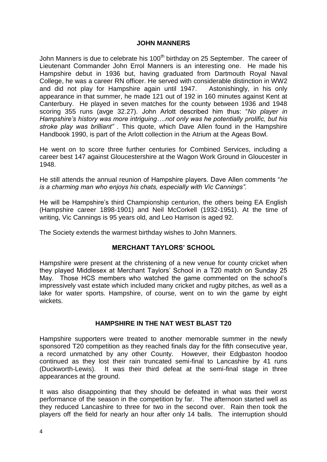## **JOHN MANNERS**

John Manners is due to celebrate his 100<sup>th</sup> birthday on 25 September. The career of Lieutenant Commander John Errol Manners is an interesting one. He made his Hampshire debut in 1936 but, having graduated from Dartmouth Royal Naval College, he was a career RN officer. He served with considerable distinction in WW2 and did not play for Hampshire again until 1947. Astonishingly, in his only appearance in that summer, he made 121 out of 192 in 160 minutes against Kent at Canterbury. He played in seven matches for the county between 1936 and 1948 scoring 355 runs (avge 32.27). John Arlott described him thus: "*No player in Hampshire's history was more intriguing….not only was he potentially prolific, but his stroke play was brilliant" .* This quote, which Dave Allen found in the Hampshire Handbook 1990, is part of the Arlott collection in the Atrium at the Ageas Bowl.

He went on to score three further centuries for Combined Services, including a career best 147 against Gloucestershire at the Wagon Work Ground in Gloucester in 1948.

He still attends the annual reunion of Hampshire players. Dave Allen comments "*he is a charming man who enjoys his chats, especially with Vic Cannings".*

He will be Hampshire's third Championship centurion, the others being EA English (Hampshire career 1898-1901) and Neil McCorkell (1932-1951). At the time of writing, Vic Cannings is 95 years old, and Leo Harrison is aged 92.

The Society extends the warmest birthday wishes to John Manners.

## **MERCHANT TAYLORS' SCHOOL**

Hampshire were present at the christening of a new venue for county cricket when they played Middlesex at Merchant Taylors' School in a T20 match on Sunday 25 May. Those HCS members who watched the game commented on the school's impressively vast estate which included many cricket and rugby pitches, as well as a lake for water sports. Hampshire, of course, went on to win the game by eight wickets.

## **HAMPSHIRE IN THE NAT WEST BLAST T20**

Hampshire supporters were treated to another memorable summer in the newly sponsored T20 competition as they reached finals day for the fifth consecutive year, a record unmatched by any other County. However, their Edgbaston hoodoo continued as they lost their rain truncated semi-final to Lancashire by 41 runs (Duckworth-Lewis). It was their third defeat at the semi-final stage in three appearances at the ground.

It was also disappointing that they should be defeated in what was their worst performance of the season in the competition by far. The afternoon started well as they reduced Lancashire to three for two in the second over. Rain then took the players off the field for nearly an hour after only 14 balls. The interruption should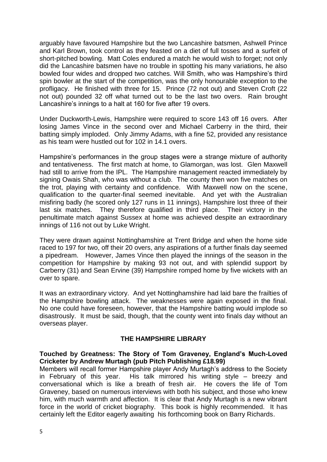arguably have favoured Hampshire but the two Lancashire batsmen, Ashwell Prince and Karl Brown, took control as they feasted on a diet of full tosses and a surfeit of short-pitched bowling. Matt Coles endured a match he would wish to forget; not only did the Lancashire batsmen have no trouble in spotting his many variations, he also bowled four wides and dropped two catches. Will Smith, who was Hampshire's third spin bowler at the start of the competition, was the only honourable exception to the profligacy. He finished with three for 15. Prince (72 not out) and Steven Croft (22 not out) pounded 32 off what turned out to be the last two overs. Rain brought Lancashire's innings to a halt at 160 for five after 19 overs.

Under Duckworth-Lewis, Hampshire were required to score 143 off 16 overs. After losing James Vince in the second over and Michael Carberry in the third, their batting simply imploded. Only Jimmy Adams, with a fine 52, provided any resistance as his team were hustled out for 102 in 14.1 overs.

Hampshire's performances in the group stages were a strange mixture of authority and tentativeness. The first match at home, to Glamorgan, was lost. Glen Maxwell had still to arrive from the IPL. The Hampshire management reacted immediately by signing Owais Shah, who was without a club. The county then won five matches on the trot, playing with certainty and confidence. With Maxwell now on the scene, qualification to the quarter-final seemed inevitable. And yet with the Australian misfiring badly (he scored only 127 runs in 11 innings), Hampshire lost three of their last six matches. They therefore qualified in third place. Their victory in the penultimate match against Sussex at home was achieved despite an extraordinary innings of 116 not out by Luke Wright.

They were drawn against Nottinghamshire at Trent Bridge and when the home side raced to 197 for two, off their 20 overs, any aspirations of a further finals day seemed a pipedream. However, James Vince then played the innings of the season in the competition for Hampshire by making 93 not out, and with splendid support by Carberry (31) and Sean Ervine (39) Hampshire romped home by five wickets with an over to spare.

It was an extraordinary victory. And yet Nottinghamshire had laid bare the frailties of the Hampshire bowling attack. The weaknesses were again exposed in the final. No one could have foreseen, however, that the Hampshire batting would implode so disastrously. It must be said, though, that the county went into finals day without an overseas player.

# **THE HAMPSHIRE LIBRARY**

#### **Touched by Greatness: The Story of Tom Graveney, England's Much-Loved Cricketer by Andrew Murtagh (pub Pitch Publishing £18.99)**

Members will recall former Hampshire player Andy Murtagh's address to the Society in February of this year. His talk mirrored his writing style – breezy and conversational which is like a breath of fresh air. He covers the life of Tom Graveney, based on numerous interviews with both his subject, and those who knew him, with much warmth and affection. It is clear that Andy Murtagh is a new vibrant force in the world of cricket biography. This book is highly recommended. It has certainly left the Editor eagerly awaiting his forthcoming book on Barry Richards.